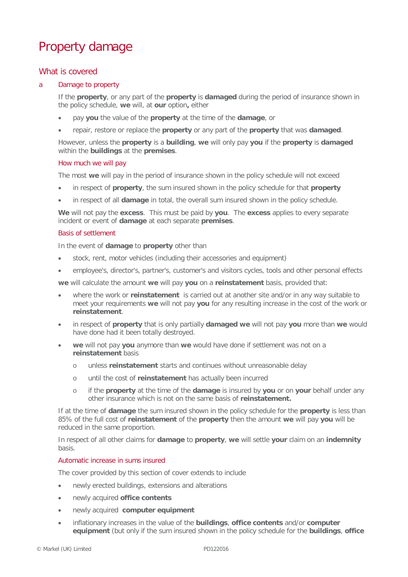# Property damage

# What is covered

# a Damage to property

If the **property**, or any part of the **property** is **damaged** during the period of insurance shown in the policy schedule, **we** will, at **our** option**,** either

- pay **you** the value of the **property** at the time of the **damage**, or
- repair, restore or replace the **property** or any part of the **property** that was **damaged**.

However, unless the **property** is a **building**, **we** will only pay **you** if the **property** is **damaged** within the **buildings** at the **premises**.

#### How much we will pay

The most **we** will pay in the period of insurance shown in the policy schedule will not exceed

- in respect of **property**, the sum insured shown in the policy schedule for that **property**
- in respect of all **damage** in total, the overall sum insured shown in the policy schedule.

**We** will not pay the **excess**. This must be paid by **you**. The **excess** applies to every separate incident or event of **damage** at each separate **premises**.

# Basis of settlement

In the event of **damage** to **property** other than

- stock, rent, motor vehicles (including their accessories and equipment)
- employee's, director's, partner's, customer's and visitors cycles, tools and other personal effects

**we** will calculate the amount **we** will pay **you** on a **reinstatement** basis, provided that:

- where the work or **reinstatement** is carried out at another site and/or in any way suitable to meet your requirements **we** will not pay **you** for any resulting increase in the cost of the work or **reinstatement**.
- in respect of **property** that is only partially **damaged we** will not pay **you** more than **we** would have done had it been totally destroyed.
- **we** will not pay **you** anymore than **we** would have done if settlement was not on a **reinstatement** basis
	- o unless **reinstatement** starts and continues without unreasonable delay
	- o until the cost of **reinstatement** has actually been incurred
	- o if the **property** at the time of the **damage** is insured by **you** or on **your** behalf under any other insurance which is not on the same basis of **reinstatement.**

If at the time of **damage** the sum insured shown in the policy schedule for the **property** is less than 85% of the full cost of **reinstatement** of the **property** then the amount **we** will pay **you** will be reduced in the same proportion.

In respect of all other claims for **damage** to **property**, **we** will settle **your** claim on an **indemnity**  basis.

# Automatic increase in sums insured

The cover provided by this section of cover extends to include

- newly erected buildings, extensions and alterations
- newly acquired **office contents**
- newly acquired **computer equipment**
- inflationary increases in the value of the **buildings**, **office contents** and/or **computer equipment** (but only if the sum insured shown in the policy schedule for the **buildings**, **office**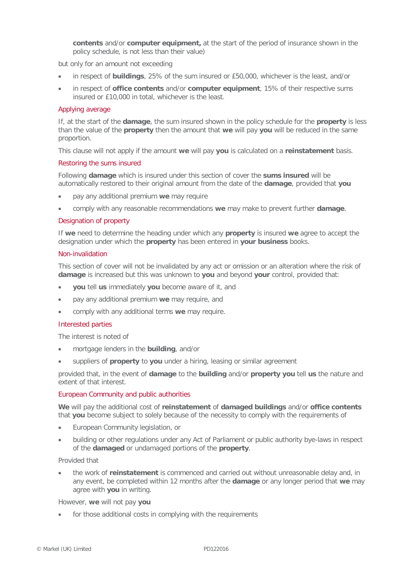**contents** and/or **computer equipment,** at the start of the period of insurance shown in the policy schedule, is not less than their value)

but only for an amount not exceeding

- in respect of **buildings**, 25% of the sum insured or £50,000, whichever is the least, and/or
- in respect of **office contents** and/or **computer equipment**, 15% of their respective sums insured or £10,000 in total, whichever is the least.

#### Applying average

If, at the start of the **damage**, the sum insured shown in the policy schedule for the **property** is less than the value of the **property** then the amount that **we** will pay **you** will be reduced in the same proportion.

This clause will not apply if the amount **we** will pay **you** is calculated on a **reinstatement** basis.

#### Restoring the sums insured

Following **damage** which is insured under this section of cover the **sums insured** will be automatically restored to their original amount from the date of the **damage**, provided that **you**

- pay any additional premium **we** may require
- comply with any reasonable recommendations **we** may make to prevent further **damage**.

#### Designation of property

If **we** need to determine the heading under which any **property** is insured **we** agree to accept the designation under which the **property** has been entered in **your business** books.

#### Non-invalidation

This section of cover will not be invalidated by any act or omission or an alteration where the risk of **damage** is increased but this was unknown to **you** and beyond **your** control, provided that:

- **you** tell **us** immediately **you** become aware of it, and
- pay any additional premium **we** may require, and
- comply with any additional terms **we** may require.

#### Interested parties

The interest is noted of

- mortgage lenders in the **building**, and/or
- suppliers of **property** to **you** under a hiring, leasing or similar agreement

provided that, in the event of **damage** to the **building** and/or **property you** tell **us** the nature and extent of that interest.

#### European Community and public authorities

**We** will pay the additional cost of **reinstatement** of **damaged buildings** and/or **office contents** that **you** become subject to solely because of the necessity to comply with the requirements of

- European Community legislation, or
- building or other regulations under any Act of Parliament or public authority bye-laws in respect of the **damaged** or undamaged portions of the **property**.

Provided that

• the work of **reinstatement** is commenced and carried out without unreasonable delay and, in any event, be completed within 12 months after the **damage** or any longer period that **we** may agree with **you** in writing.

However, **we** will not pay **you** 

for those additional costs in complying with the requirements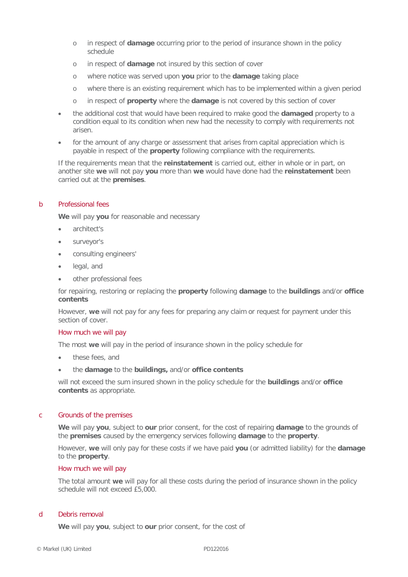- o in respect of **damage** occurring prior to the period of insurance shown in the policy schedule
- o in respect of **damage** not insured by this section of cover
- o where notice was served upon **you** prior to the **damage** taking place
- o where there is an existing requirement which has to be implemented within a given period
- o in respect of **property** where the **damage** is not covered by this section of cover
- the additional cost that would have been required to make good the **damaged** property to a condition equal to its condition when new had the necessity to comply with requirements not arisen.
- for the amount of any charge or assessment that arises from capital appreciation which is payable in respect of the **property** following compliance with the requirements.

If the requirements mean that the **reinstatement** is carried out, either in whole or in part, on another site **we** will not pay **you** more than **we** would have done had the **reinstatement** been carried out at the **premises**.

# b Professional fees

**We** will pay **you** for reasonable and necessary

- architect's
- surveyor's
- consulting engineers'
- legal, and
- other professional fees

for repairing, restoring or replacing the **property** following **damage** to the **buildings** and/or **office contents**

However, **we** will not pay for any fees for preparing any claim or request for payment under this section of cover.

## How much we will pay

The most **we** will pay in the period of insurance shown in the policy schedule for

- these fees, and
- the **damage** to the **buildings,** and/or **office contents**

will not exceed the sum insured shown in the policy schedule for the **buildings** and/or **office contents** as appropriate.

#### c Grounds of the premises

**We** will pay **you**, subject to **our** prior consent, for the cost of repairing **damage** to the grounds of the **premises** caused by the emergency services following **damage** to the **property**.

However, **we** will only pay for these costs if we have paid **you** (or admitted liability) for the **damage** to the **property**.

#### How much we will pay

The total amount **we** will pay for all these costs during the period of insurance shown in the policy schedule will not exceed £5,000.

#### d Debris removal

**We** will pay **you**, subject to **our** prior consent, for the cost of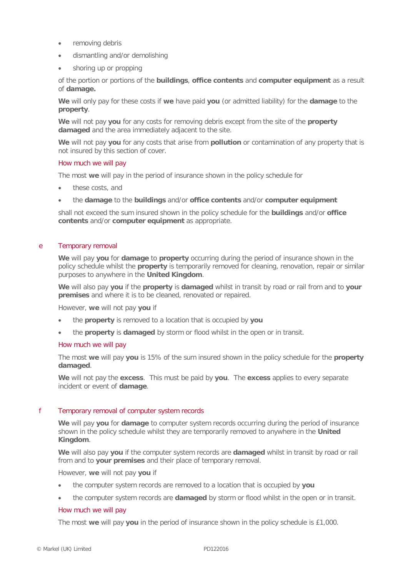- removing debris
- dismantling and/or demolishing
- shoring up or propping

of the portion or portions of the **buildings**, **office contents** and **computer equipment** as a result of **damage.**

**We** will only pay for these costs if **we** have paid **you** (or admitted liability) for the **damage** to the **property**.

**We** will not pay **you** for any costs for removing debris except from the site of the **property damaged** and the area immediately adjacent to the site.

**We** will not pay **you** for any costs that arise from **pollution** or contamination of any property that is not insured by this section of cover.

#### How much we will pay

The most **we** will pay in the period of insurance shown in the policy schedule for

- these costs, and
- the **damage** to the **buildings** and/or **office contents** and/or **computer equipment**

shall not exceed the sum insured shown in the policy schedule for the **buildings** and/or **office contents** and/or **computer equipment** as appropriate.

#### e Temporary removal

**We** will pay **you** for **damage** to **property** occurring during the period of insurance shown in the policy schedule whilst the **property** is temporarily removed for cleaning, renovation, repair or similar purposes to anywhere in the **United Kingdom**.

**We** will also pay **you** if the **property** is **damaged** whilst in transit by road or rail from and to **your premises** and where it is to be cleaned, renovated or repaired.

However, **we** will not pay **you** if

- the **property** is removed to a location that is occupied by **you**
- the **property** is **damaged** by storm or flood whilst in the open or in transit.

#### How much we will pay

The most **we** will pay **you** is 15% of the sum insured shown in the policy schedule for the **property damaged**.

**We** will not pay the **excess**. This must be paid by **you**. The **excess** applies to every separate incident or event of **damage**.

# f Temporary removal of computer system records

**We** will pay **you** for **damage** to computer system records occurring during the period of insurance shown in the policy schedule whilst they are temporarily removed to anywhere in the **United Kingdom**.

**We** will also pay **you** if the computer system records are **damaged** whilst in transit by road or rail from and to **your premises** and their place of temporary removal.

However, **we** will not pay **you** if

- the computer system records are removed to a location that is occupied by **you**
- the computer system records are **damaged** by storm or flood whilst in the open or in transit.

#### How much we will pay

The most **we** will pay **you** in the period of insurance shown in the policy schedule is £1,000.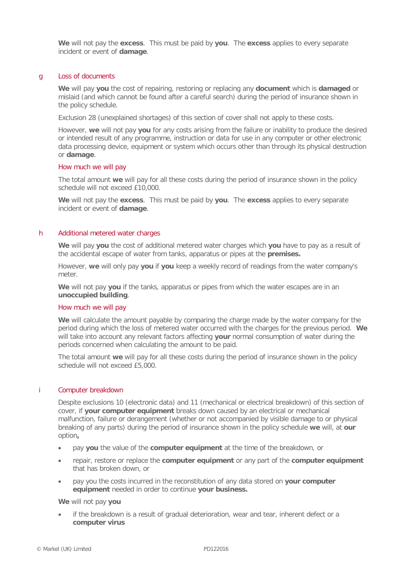**We** will not pay the **excess**. This must be paid by **you**. The **excess** applies to every separate incident or event of **damage**.

#### g Loss of documents

**We** will pay **you** the cost of repairing, restoring or replacing any **document** which is **damaged** or mislaid (and which cannot be found after a careful search) during the period of insurance shown in the policy schedule.

Exclusion 28 (unexplained shortages) of this section of cover shall not apply to these costs.

However, **we** will not pay **you** for any costs arising from the failure or inability to produce the desired or intended result of any programme, instruction or data for use in any computer or other electronic data processing device, equipment or system which occurs other than through its physical destruction or **damage**.

#### How much we will pay

The total amount **we** will pay for all these costs during the period of insurance shown in the policy schedule will not exceed £10,000.

**We** will not pay the **excess**. This must be paid by **you**. The **excess** applies to every separate incident or event of **damage**.

#### h Additional metered water charges

**We** will pay **you** the cost of additional metered water charges which **you** have to pay as a result of the accidental escape of water from tanks, apparatus or pipes at the **premises.**

However, **we** will only pay **you** if **you** keep a weekly record of readings from the water company's meter.

**We** will not pay **you** if the tanks, apparatus or pipes from which the water escapes are in an **unoccupied building**.

#### How much we will pay

**We** will calculate the amount payable by comparing the charge made by the water company for the period during which the loss of metered water occurred with the charges for the previous period. **We** will take into account any relevant factors affecting **your** normal consumption of water during the periods concerned when calculating the amount to be paid.

The total amount **we** will pay for all these costs during the period of insurance shown in the policy schedule will not exceed £5,000.

#### i Computer breakdown

Despite exclusions 10 (electronic data) and 11 (mechanical or electrical breakdown) of this section of cover, if **your computer equipment** breaks down caused by an electrical or mechanical malfunction, failure or derangement (whether or not accompanied by visible damage to or physical breaking of any parts) during the period of insurance shown in the policy schedule **we** will, at **our** option**,** 

- pay **you** the value of the **computer equipment** at the time of the breakdown, or
- repair, restore or replace the **computer equipment** or any part of the **computer equipment** that has broken down, or
- pay you the costs incurred in the reconstitution of any data stored on **your computer equipment** needed in order to continue **your business.**

#### **We** will not pay **you**

• if the breakdown is a result of gradual deterioration, wear and tear, inherent defect or a **computer virus**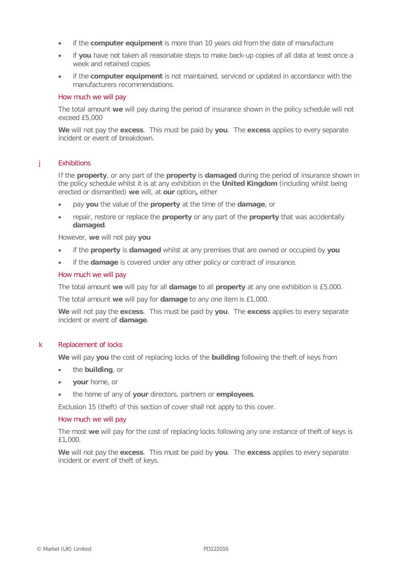- if the **computer equipment** is more than 10 years old from the date of manufacture
- if **you** have not taken all reasonable steps to make back-up copies of all data at least once a week and retained copies
- if the **computer equipment** is not maintained, serviced or updated in accordance with the manufacturers recommendations.

#### How much we will pay

The total amount **we** will pay during the period of insurance shown in the policy schedule will not exceed £5,000

**We** will not pay the **excess**. This must be paid by **you**. The **excess** applies to every separate incident or event of breakdown.

#### j Exhibitions

If the **property**, or any part of the **property** is **damaged** during the period of insurance shown in the policy schedule whilst it is at any exhibition in the **United Kingdom** (including whilst being erected or dismantled) **we** will, at **our** option**,** either

- pay **you** the value of the **property** at the time of the **damage**, or
- repair, restore or replace the **property** or any part of the **property** that was accidentally **damaged**.

However, **we** will not pay **you**

- if the **property** is **damaged** whilst at any premises that are owned or occupied by **you**
- if the **damage** is covered under any other policy or contract of insurance.

#### How much we will pay

The total amount **we** will pay for all **damage** to all **property** at any one exhibition is £5,000.

The total amount **we** will pay for **damage** to any one item is £1,000.

**We** will not pay the **excess**. This must be paid by **you**. The **excess** applies to every separate incident or event of **damage**.

#### k Replacement of locks

**We** will pay **you** the cost of replacing locks of the **building** following the theft of keys from

- the **building**, or
- **your** home, or
- the home of any of **your** directors, partners or **employees**.

Exclusion 15 (theft) of this section of cover shall not apply to this cover.

#### How much we will pay

The most **we** will pay for the cost of replacing locks following any one instance of theft of keys is £1,000.

**We** will not pay the **excess**. This must be paid by **you**. The **excess** applies to every separate incident or event of theft of keys.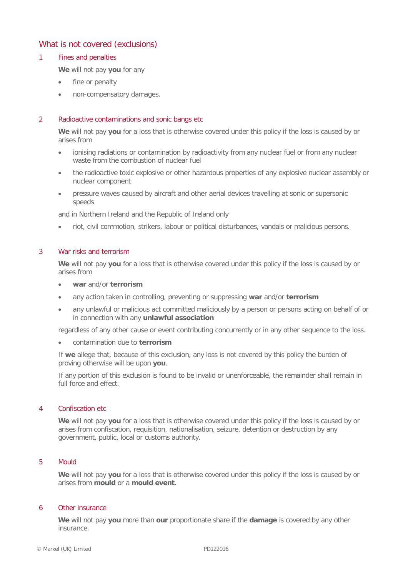# What is not covered (exclusions)

# 1 Fines and penalties

**We** will not pay **you** for any

- fine or penalty
- non-compensatory damages.

# 2 Radioactive contaminations and sonic bangs etc

**We** will not pay **you** for a loss that is otherwise covered under this policy if the loss is caused by or arises from

- ionising radiations or contamination by radioactivity from any nuclear fuel or from any nuclear waste from the combustion of nuclear fuel
- the radioactive toxic explosive or other hazardous properties of any explosive nuclear assembly or nuclear component
- pressure waves caused by aircraft and other aerial devices travelling at sonic or supersonic speeds

and in Northern Ireland and the Republic of Ireland only

• riot, civil commotion, strikers, labour or political disturbances, vandals or malicious persons.

# 3 War risks and terrorism

**We** will not pay **you** for a loss that is otherwise covered under this policy if the loss is caused by or arises from

- **war** and/or **terrorism**
- any action taken in controlling, preventing or suppressing **war** and/or **terrorism**
- any unlawful or malicious act committed maliciously by a person or persons acting on behalf of or in connection with any **unlawful association**

regardless of any other cause or event contributing concurrently or in any other sequence to the loss.

• contamination due to **terrorism**

If **we** allege that, because of this exclusion, any loss is not covered by this policy the burden of proving otherwise will be upon **you**.

If any portion of this exclusion is found to be invalid or unenforceable, the remainder shall remain in full force and effect.

## 4 Confiscation etc

**We** will not pay **you** for a loss that is otherwise covered under this policy if the loss is caused by or arises from confiscation, requisition, nationalisation, seizure, detention or destruction by any government, public, local or customs authority.

# 5 Mould

**We** will not pay **you** for a loss that is otherwise covered under this policy if the loss is caused by or arises from **mould** or a **mould event**.

#### 6 Other insurance

**We** will not pay **you** more than **our** proportionate share if the **damage** is covered by any other insurance.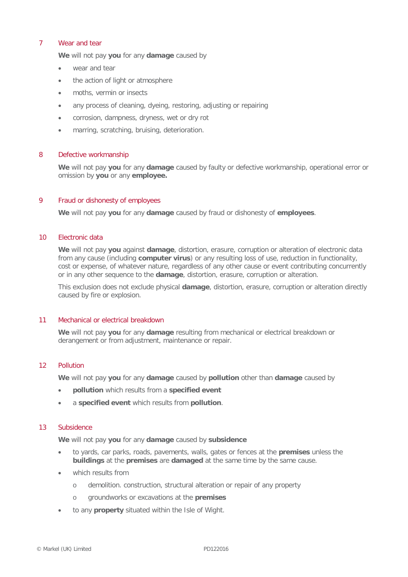# 7 Wear and tear

**We** will not pay **you** for any **damage** caused by

- wear and tear
- the action of light or atmosphere
- moths, vermin or insects
- any process of cleaning, dyeing, restoring, adjusting or repairing
- corrosion, dampness, dryness, wet or dry rot
- marring, scratching, bruising, deterioration.

#### 8 Defective workmanship

**We** will not pay **you** for any **damage** caused by faulty or defective workmanship, operational error or omission by **you** or any **employee.**

## 9 Fraud or dishonesty of employees

**We** will not pay **you** for any **damage** caused by fraud or dishonesty of **employees**.

# 10 Electronic data

**We** will not pay **you** against **damage**, distortion, erasure, corruption or alteration of electronic data from any cause (including **computer virus**) or any resulting loss of use, reduction in functionality, cost or expense, of whatever nature, regardless of any other cause or event contributing concurrently or in any other sequence to the **damage**, distortion, erasure, corruption or alteration.

This exclusion does not exclude physical **damage**, distortion, erasure, corruption or alteration directly caused by fire or explosion.

# 11 Mechanical or electrical breakdown

**We** will not pay **you** for any **damage** resulting from mechanical or electrical breakdown or derangement or from adjustment, maintenance or repair.

#### 12 Pollution

**We** will not pay **you** for any **damage** caused by **pollution** other than **damage** caused by

- **pollution** which results from a **specified event**
- a **specified event** which results from **pollution**.

#### 13 Subsidence

**We** will not pay **you** for any **damage** caused by **subsidence**

- to yards, car parks, roads, pavements, walls, gates or fences at the **premises** unless the **buildings** at the **premises** are **damaged** at the same time by the same cause.
- which results from
	- o demolition. construction, structural alteration or repair of any property
	- o groundworks or excavations at the **premises**
- to any **property** situated within the Isle of Wight.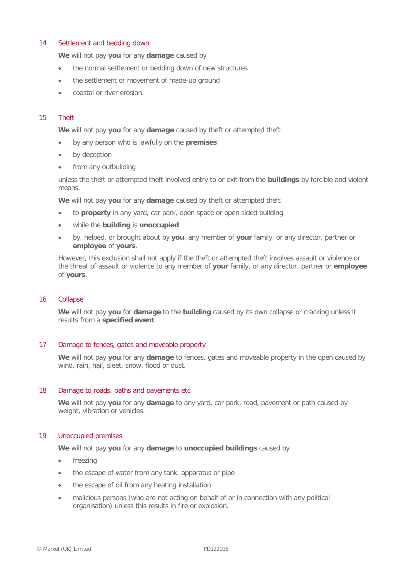# 14 Settlement and bedding down

**We** will not pay **you** for any **damage** caused by

- the normal settlement or bedding down of new structures
- the settlement or movement of made-up ground
- coastal or river erosion.

#### 15 Theft

**We** will not pay **you** for any **damage** caused by theft or attempted theft

- by any person who is lawfully on the **premises**
- by deception
- from any outbuilding

unless the theft or attempted theft involved entry to or exit from the **buildings** by forcible and violent means.

**We** will not pay **you** for any **damage** caused by theft or attempted theft

- to **property** in any yard, car park, open space or open sided building
- while the **building** is **unoccupied**
- by, helped, or brought about by **you**, any member of **your** family, or any director, partner or **employee** of **yours**.

However, this exclusion shall not apply if the theft or attempted theft involves assault or violence or the threat of assault or violence to any member of **your** family, or any director, partner or **employee** of **yours**.

#### 16 Collapse

**We** will not pay **you** for **damage** to the **building** caused by its own collapse or cracking unless it results from a **specified event**.

#### 17 Damage to fences, gates and moveable property

**We** will not pay **you** for any **damage** to fences, gates and moveable property in the open caused by wind, rain, hail, sleet, snow, flood or dust.

#### 18 Damage to roads, paths and pavements etc

**We** will not pay **you** for any **damage** to any yard, car park, road, pavement or path caused by weight, vibration or vehicles.

#### 19 Unoccupied premises

**We** will not pay **you** for any **damage** to **unoccupied buildings** caused by

- freezing
- the escape of water from any tank, apparatus or pipe
- the escape of oil from any heating installation
- malicious persons (who are not acting on behalf of or in connection with any political organisation) unless this results in fire or explosion.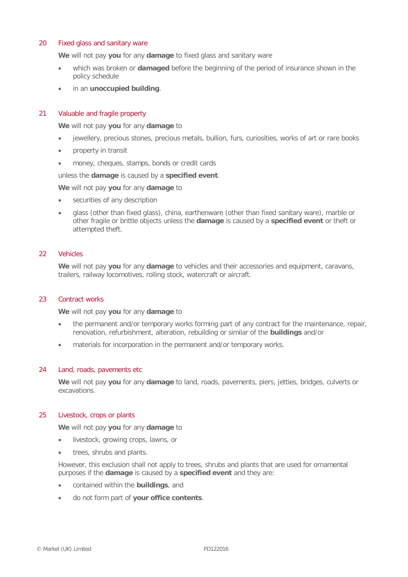# 20 Fixed glass and sanitary ware

**We** will not pay **you** for any **damage** to fixed glass and sanitary ware

- which was broken or **damaged** before the beginning of the period of insurance shown in the policy schedule
- in an **unoccupied building**.

#### 21 Valuable and fragile property

**We** will not pay **you** for any **damage** to

- jewellery, precious stones, precious metals, bullion, furs, curiosities, works of art or rare books
- property in transit
- money, cheques, stamps, bonds or credit cards

unless the **damage** is caused by a **specified event**.

**We** will not pay **you** for any **damage** to

- securities of any description
- glass (other than fixed glass), china, earthenware (other than fixed sanitary ware), marble or other fragile or brittle objects unless the **damage** is caused by a **specified event** or theft or attempted theft.

#### 22 Vehicles

**We** will not pay **you** for any **damage** to vehicles and their accessories and equipment, caravans, trailers, railway locomotives, rolling stock, watercraft or aircraft.

#### 23 Contract works

**We** will not pay **you** for any **damage** to

- the permanent and/or temporary works forming part of any contract for the maintenance, repair, renovation, refurbishment, alteration, rebuilding or similar of the **buildings** and/or
- materials for incorporation in the permanent and/or temporary works.

#### 24 Land, roads, pavements etc

**We** will not pay **you** for any **damage** to land, roads, pavements, piers, jetties, bridges, culverts or excavations.

#### 25 Livestock, crops or plants

**We** will not pay **you** for any **damage** to

- livestock, growing crops, lawns, or
- trees, shrubs and plants.

However, this exclusion shall not apply to trees, shrubs and plants that are used for ornamental purposes if the **damage** is caused by a **specified event** and they are:

- contained within the **buildings**, and
- do not form part of **your office contents**.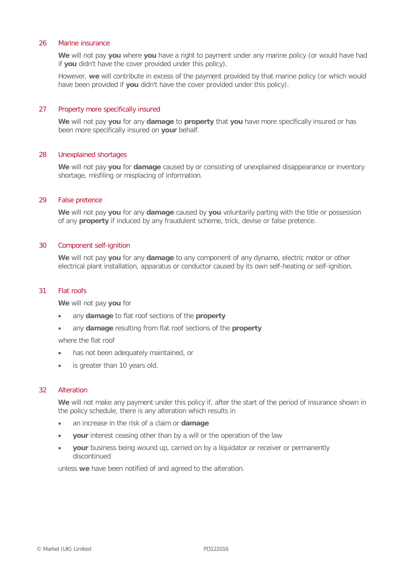#### 26 Marine insurance

**We** will not pay **you** where **you** have a right to payment under any marine policy (or would have had if **you** didn't have the cover provided under this policy).

However, **we** will contribute in excess of the payment provided by that marine policy (or which would have been provided if **you** didn't have the cover provided under this policy).

#### 27 Property more specifically insured

**We** will not pay **you** for any **damage** to **property** that **you** have more specifically insured or has been more specifically insured on **your** behalf.

#### 28 Unexplained shortages

**We** will not pay **you** for **damage** caused by or consisting of unexplained disappearance or inventory shortage, misfiling or misplacing of information.

# 29 False pretence

**We** will not pay **you** for any **damage** caused by **you** voluntarily parting with the title or possession of any **property** if induced by any fraudulent scheme, trick, devise or false pretence.

# 30 Component self-ignition

**We** will not pay **you** for any **damage** to any component of any dynamo, electric motor or other electrical plant installation, apparatus or conductor caused by its own self-heating or self-ignition.

#### 31 Flat roofs

**We** will not pay **you** for

- any **damage** to flat roof sections of the **property**
- any **damage** resulting from flat roof sections of the **property**

where the flat roof

- has not been adequately maintained, or
- is greater than 10 years old.

#### 32 Alteration

**We** will not make any payment under this policy if, after the start of the period of insurance shown in the policy schedule, there is any alteration which results in

- an increase in the risk of a claim or **damage**
- **your** interest ceasing other than by a will or the operation of the law
- **your** business being wound up, carried on by a liquidator or receiver or permanently discontinued

unless **we** have been notified of and agreed to the alteration.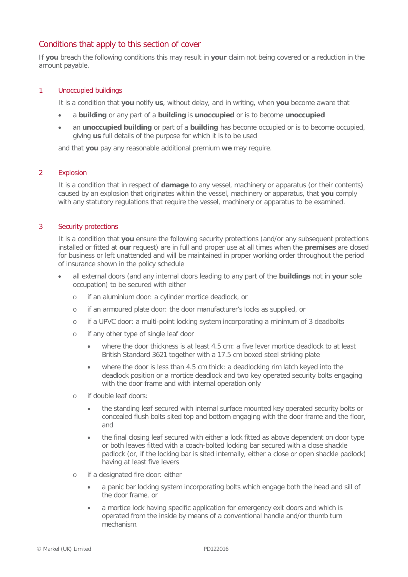# Conditions that apply to this section of cover

If **you** breach the following conditions this may result in **your** claim not being covered or a reduction in the amount payable.

# 1 Unoccupied buildings

It is a condition that **you** notify **us**, without delay, and in writing, when **you** become aware that

- a **building** or any part of a **building** is **unoccupied** or is to become **unoccupied**
- an **unoccupied building** or part of a **building** has become occupied or is to become occupied, giving **us** full details of the purpose for which it is to be used

and that **you** pay any reasonable additional premium **we** may require.

## 2 Explosion

It is a condition that in respect of **damage** to any vessel, machinery or apparatus (or their contents) caused by an explosion that originates within the vessel, machinery or apparatus, that **you** comply with any statutory regulations that require the vessel, machinery or apparatus to be examined.

#### 3 Security protections

It is a condition that **you** ensure the following security protections (and/or any subsequent protections installed or fitted at **our** request) are in full and proper use at all times when the **premises** are closed for business or left unattended and will be maintained in proper working order throughout the period of insurance shown in the policy schedule

- all external doors (and any internal doors leading to any part of the **buildings** not in **your** sole occupation) to be secured with either
	- o if an aluminium door: a cylinder mortice deadlock, or
	- o if an armoured plate door: the door manufacturer's locks as supplied, or
	- o if a UPVC door: a multi-point locking system incorporating a minimum of 3 deadbolts
	- o if any other type of single leaf door
		- where the door thickness is at least 4.5 cm: a five lever mortice deadlock to at least British Standard 3621 together with a 17.5 cm boxed steel striking plate
		- where the door is less than 4.5 cm thick: a deadlocking rim latch keyed into the deadlock position or a mortice deadlock and two key operated security bolts engaging with the door frame and with internal operation only
	- o if double leaf doors:
		- the standing leaf secured with internal surface mounted key operated security bolts or concealed flush bolts sited top and bottom engaging with the door frame and the floor, and
		- the final closing leaf secured with either a lock fitted as above dependent on door type or both leaves fitted with a coach-bolted locking bar secured with a close shackle padlock (or, if the locking bar is sited internally, either a close or open shackle padlock) having at least five levers
	- o if a designated fire door: either
		- a panic bar locking system incorporating bolts which engage both the head and sill of the door frame, or
		- a mortice lock having specific application for emergency exit doors and which is operated from the inside by means of a conventional handle and/or thumb turn mechanism.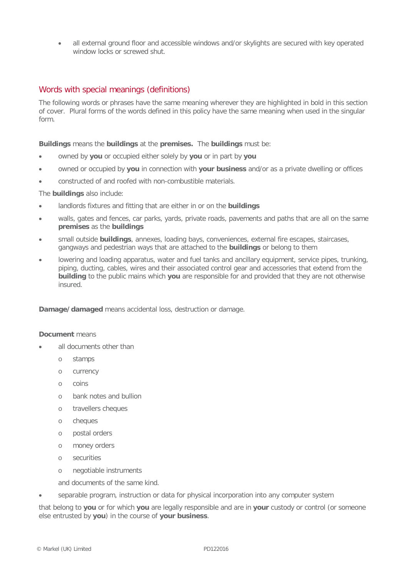• all external ground floor and accessible windows and/or skylights are secured with key operated window locks or screwed shut.

# Words with special meanings (definitions)

The following words or phrases have the same meaning wherever they are highlighted in bold in this section of cover. Plural forms of the words defined in this policy have the same meaning when used in the singular form.

**Buildings** means the **buildings** at the **premises.** The **buildings** must be:

- owned by **you** or occupied either solely by **you** or in part by **you**
- owned or occupied by **you** in connection with **your business** and/or as a private dwelling or offices
- constructed of and roofed with non-combustible materials.

The **buildings** also include:

- landlords fixtures and fitting that are either in or on the **buildings**
- walls, gates and fences, car parks, yards, private roads, pavements and paths that are all on the same **premises** as the **buildings**
- small outside **buildings**, annexes, loading bays, conveniences, external fire escapes, staircases, gangways and pedestrian ways that are attached to the **buildings** or belong to them
- lowering and loading apparatus, water and fuel tanks and ancillary equipment, service pipes, trunking, piping, ducting, cables, wires and their associated control gear and accessories that extend from the **building** to the public mains which **you** are responsible for and provided that they are not otherwise insured.

**Damage/damaged** means accidental loss, destruction or damage.

# **Document** means

- all documents other than
	- o stamps
	- o currency
	- o coins
	- o bank notes and bullion
	- o travellers cheques
	- o cheques
	- o postal orders
	- o money orders
	- o securities
	- o negotiable instruments
	- and documents of the same kind.
- separable program, instruction or data for physical incorporation into any computer system

that belong to **you** or for which **you** are legally responsible and are in **your** custody or control (or someone else entrusted by **you**) in the course of **your business**.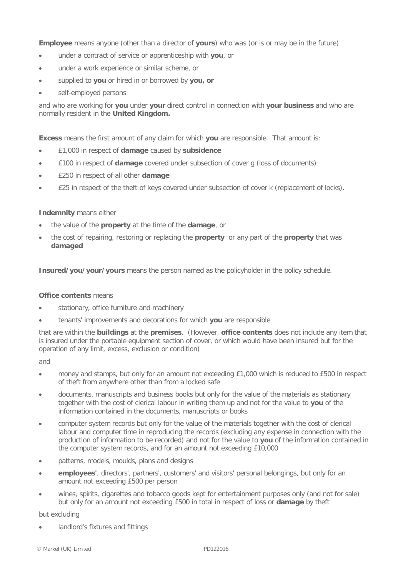**Employee** means anyone (other than a director of **yours**) who was (or is or may be in the future)

- under a contract of service or apprenticeship with **you**, or
- under a work experience or similar scheme, or
- supplied to **you** or hired in or borrowed by **you, or**
- self-employed persons

and who are working for **you** under **your** direct control in connection with **your business** and who are normally resident in the **United Kingdom.**

**Excess** means the first amount of any claim for which **you** are responsible. That amount is:

- £1,000 in respect of **damage** caused by **subsidence**
- £100 in respect of **damage** covered under subsection of cover g (loss of documents)
- £250 in respect of all other **damage**
- £25 in respect of the theft of keys covered under subsection of cover k (replacement of locks).

# **Indemnity** means either

- the value of the **property** at the time of the **damage**, or
- the cost of repairing, restoring or replacing the **property** or any part of the **property** that was **damaged**

**Insured/you/your/yours** means the person named as the policyholder in the policy schedule.

#### **Office contents** means

- stationary, office furniture and machinery
- tenants' improvements and decorations for which **you** are responsible

that are within the **buildings** at the **premises**. (However, **office contents** does not include any item that is insured under the portable equipment section of cover, or which would have been insured but for the operation of any limit, excess, exclusion or condition)

and

- money and stamps, but only for an amount not exceeding £1,000 which is reduced to £500 in respect of theft from anywhere other than from a locked safe
- documents, manuscripts and business books but only for the value of the materials as stationary together with the cost of clerical labour in writing them up and not for the value to **you** of the information contained in the documents, manuscripts or books
- computer system records but only for the value of the materials together with the cost of clerical labour and computer time in reproducing the records (excluding any expense in connection with the production of information to be recorded) and not for the value to **you** of the information contained in the computer system records, and for an amount not exceeding £10,000
- patterns, models, moulds, plans and designs
- **employees'**, directors', partners', customers' and visitors' personal belongings, but only for an amount not exceeding £500 per person
- wines, spirits, cigarettes and tobacco goods kept for entertainment purposes only (and not for sale) but only for an amount not exceeding £500 in total in respect of loss or **damage** by theft

#### but excluding

landlord's fixtures and fittings